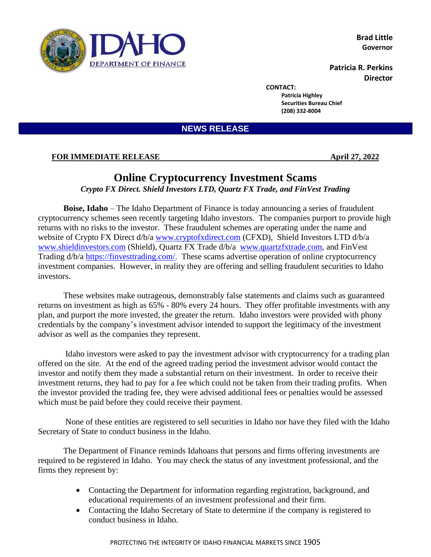

**Brad Little Governor**

**Patricia R. Perkins Director**

**CONTACT:**

**Patricia Highley Securities Bureau Chief (208) 332-8004**

**NEWS RELEASE**

## **FOR IMMEDIATE RELEASE April 27, 2022**

## **Online Cryptocurrency Investment Scams**

*Crypto FX Direct. Shield Investors LTD, Quartz FX Trade, and FinVest Trading*

**Boise, Idaho** – The Idaho Department of Finance is today announcing a series of fraudulent cryptocurrency schemes seen recently targeting Idaho investors. The companies purport to provide high returns with no risks to the investor. These fraudulent schemes are operating under the name and website of Crypto FX Direct d/b/a [www.cryptofxdirect.com](http://www.cryptofxdirect.com/) (CFXD), Shield Investors LTD d/b/a [www.shieldinvestors.com](http://www.shieldinvestors.com/) (Shield), Quartz FX Trade d/b/a [www.quartzfxtrade.com,](http://www.quartzfxtrade.coma/) and FinVest Trading d/b/a [https://finvesttrading.com/.](https://finvesttrading.com/) These scams advertise operation of online cryptocurrency investment companies. However, in reality they are offering and selling fraudulent securities to Idaho investors.

These websites make outrageous, demonstrably false statements and claims such as guaranteed returns on investment as high as 65% - 80% every 24 hours. They offer profitable investments with any plan, and purport the more invested, the greater the return. Idaho investors were provided with phony credentials by the company's investment advisor intended to support the legitimacy of the investment advisor as well as the companies they represent.

Idaho investors were asked to pay the investment advisor with cryptocurrency for a trading plan offered on the site. At the end of the agreed trading period the investment advisor would contact the investor and notify them they made a substantial return on their investment. In order to receive their investment returns, they had to pay for a fee which could not be taken from their trading profits. When the investor provided the trading fee, they were advised additional fees or penalties would be assessed which must be paid before they could receive their payment.

None of these entities are registered to sell securities in Idaho nor have they filed with the Idaho Secretary of State to conduct business in the Idaho.

The Department of Finance reminds Idahoans that persons and firms offering investments are required to be registered in Idaho. You may check the status of any investment professional, and the firms they represent by:

- Contacting the Department for information regarding registration, background, and educational requirements of an investment professional and their firm.
- Contacting the Idaho Secretary of State to determine if the company is registered to conduct business in Idaho.